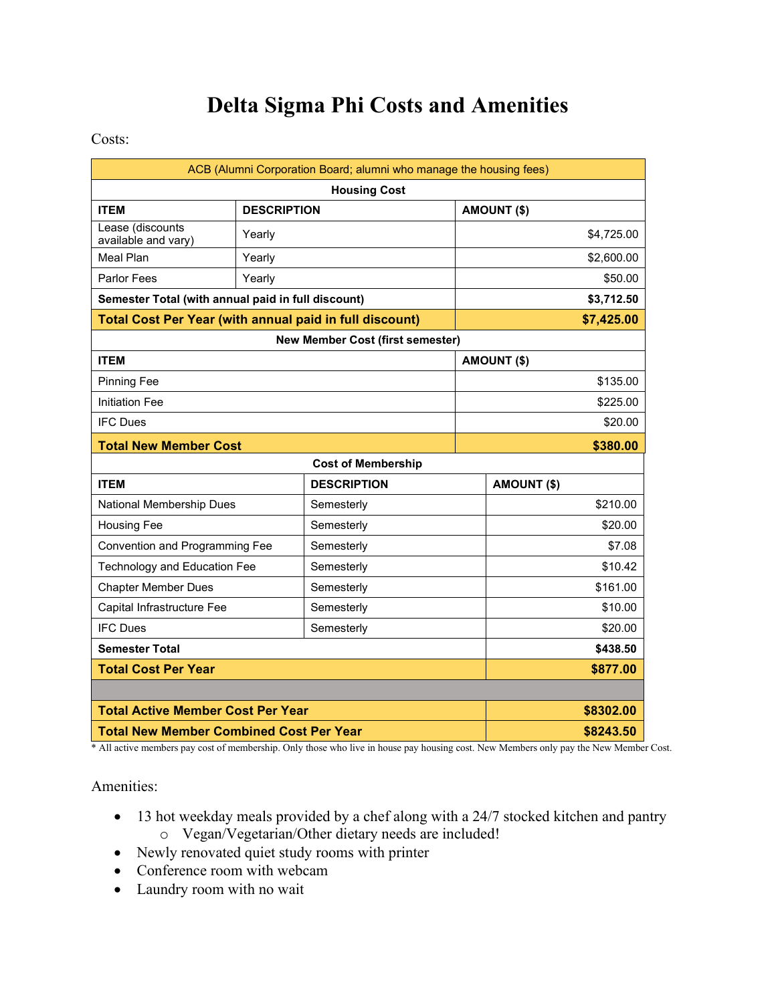## **Delta Sigma Phi Costs and Amenities**

## Costs:

| ACB (Alumni Corporation Board; alumni who manage the housing fees) |                    |                    |  |                    |            |
|--------------------------------------------------------------------|--------------------|--------------------|--|--------------------|------------|
| <b>Housing Cost</b>                                                |                    |                    |  |                    |            |
| <b>ITEM</b>                                                        | <b>DESCRIPTION</b> |                    |  | <b>AMOUNT (\$)</b> |            |
| Lease (discounts<br>available and vary)                            | Yearly             |                    |  |                    | \$4,725.00 |
| <b>Meal Plan</b>                                                   | Yearly             |                    |  | \$2,600.00         |            |
| <b>Parlor Fees</b>                                                 | Yearly             |                    |  |                    | \$50.00    |
| Semester Total (with annual paid in full discount)                 |                    |                    |  |                    | \$3,712.50 |
| <b>Total Cost Per Year (with annual paid in full discount)</b>     |                    |                    |  |                    | \$7,425.00 |
| <b>New Member Cost (first semester)</b>                            |                    |                    |  |                    |            |
| <b>ITEM</b>                                                        |                    |                    |  | AMOUNT (\$)        |            |
| <b>Pinning Fee</b>                                                 |                    |                    |  |                    | \$135.00   |
| <b>Initiation Fee</b>                                              |                    |                    |  | \$225.00           |            |
| <b>IFC Dues</b>                                                    |                    |                    |  |                    | \$20.00    |
| <b>Total New Member Cost</b>                                       |                    |                    |  |                    | \$380.00   |
| <b>Cost of Membership</b>                                          |                    |                    |  |                    |            |
| <b>ITEM</b>                                                        |                    | <b>DESCRIPTION</b> |  | AMOUNT (\$)        |            |
| National Membership Dues                                           |                    | Semesterly         |  |                    | \$210.00   |
| <b>Housing Fee</b>                                                 |                    | Semesterly         |  |                    | \$20.00    |
| Convention and Programming Fee                                     |                    | Semesterly         |  |                    | \$7.08     |
| Technology and Education Fee                                       |                    | Semesterly         |  |                    | \$10.42    |
| <b>Chapter Member Dues</b>                                         |                    | Semesterly         |  |                    | \$161.00   |
| Capital Infrastructure Fee                                         |                    | Semesterly         |  |                    | \$10.00    |
| <b>IFC Dues</b>                                                    |                    | Semesterly         |  | \$20.00            |            |
| <b>Semester Total</b>                                              |                    |                    |  |                    | \$438.50   |
| <b>Total Cost Per Year</b>                                         |                    |                    |  |                    | \$877.00   |
|                                                                    |                    |                    |  |                    |            |
| <b>Total Active Member Cost Per Year</b>                           |                    |                    |  |                    | \$8302.00  |
| <b>Total New Member Combined Cost Per Year</b>                     |                    |                    |  |                    | \$8243.50  |

\* All active members pay cost of membership. Only those who live in house pay housing cost. New Members only pay the New Member Cost.

Amenities:

- 13 hot weekday meals provided by a chef along with a 24/7 stocked kitchen and pantry o Vegan/Vegetarian/Other dietary needs are included!
- Newly renovated quiet study rooms with printer
- Conference room with webcam
- Laundry room with no wait